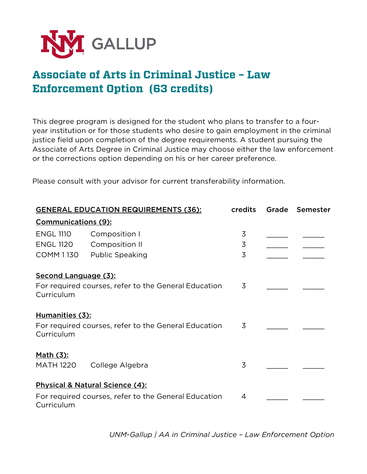

## **Associate of Arts in Criminal Justice – Law Enforcement Option (63 credits)**

This degree program is designed for the student who plans to transfer to a fouryear institution or for those students who desire to gain employment in the criminal justice field upon completion of the degree requirements. A student pursuing the Associate of Arts Degree in Criminal Justice may choose either the law enforcement or the corrections option depending on his or her career preference.

Please consult with your advisor for current transferability information.

| <b>GENERAL EDUCATION REQUIREMENTS (36):</b>          |                                                      | <b>credits</b> |  | Grade Semester |  |  |
|------------------------------------------------------|------------------------------------------------------|----------------|--|----------------|--|--|
| <b>Communications (9):</b>                           |                                                      |                |  |                |  |  |
| <b>ENGL 1110</b>                                     | Composition I                                        | 3              |  |                |  |  |
| <b>ENGL 1120</b>                                     | Composition II                                       | 3              |  |                |  |  |
| COMM 1130                                            | Public Speaking                                      | 3              |  |                |  |  |
| Second Language (3):                                 |                                                      |                |  |                |  |  |
|                                                      | For required courses, refer to the General Education | 3              |  |                |  |  |
| Curriculum                                           |                                                      |                |  |                |  |  |
| Humanities (3):                                      |                                                      |                |  |                |  |  |
| For required courses, refer to the General Education | 3                                                    |                |  |                |  |  |
| Curriculum                                           |                                                      |                |  |                |  |  |
| <u>Math (3):</u>                                     |                                                      |                |  |                |  |  |
| <b>MATH 1220</b>                                     | College Algebra                                      | 3              |  |                |  |  |
|                                                      | Physical & Natural Science (4):                      |                |  |                |  |  |
| For required courses, refer to the General Education |                                                      | 4              |  |                |  |  |
| Curriculum                                           |                                                      |                |  |                |  |  |

*UNM-Gallup | AA in Criminal Justice – Law Enforcement Option*